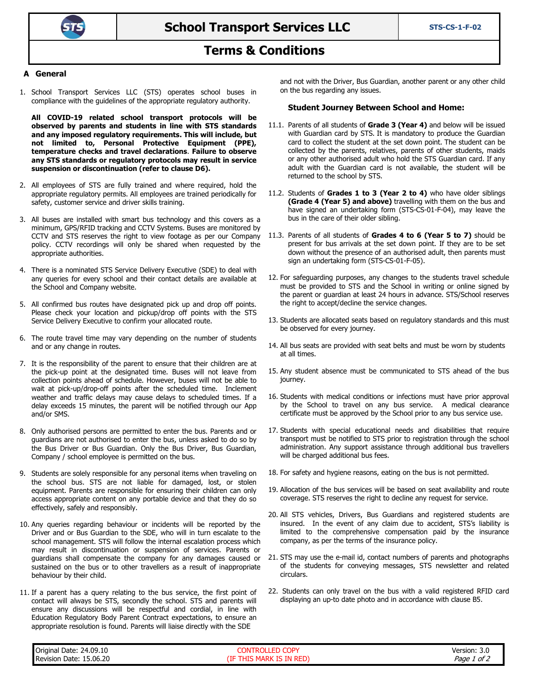

# **Terms & Conditions**

### **A General**

1. School Transport Services LLC (STS) operates school buses in compliance with the guidelines of the appropriate regulatory authority.

**All COVID-19 related school transport protocols will be observed by parents and students in line with STS standards and any imposed regulatory requirements. This will include, but not limited to, Personal Protective Equipment (PPE), temperature checks and travel declarations**. **Failure to observe any STS standards or regulatory protocols may result in service suspension or discontinuation (refer to clause D6).**

- 2. All employees of STS are fully trained and where required, hold the appropriate regulatory permits. All employees are trained periodically for safety, customer service and driver skills training.
- 3. All buses are installed with smart bus technology and this covers as a minimum, GPS/RFID tracking and CCTV Systems. Buses are monitored by CCTV and STS reserves the right to view footage as per our Company policy. CCTV recordings will only be shared when requested by the appropriate authorities.
- 4. There is a nominated STS Service Delivery Executive (SDE) to deal with any queries for every school and their contact details are available at the School and Company website.
- 5. All confirmed bus routes have designated pick up and drop off points. Please check your location and pickup/drop off points with the STS Service Delivery Executive to confirm your allocated route.
- 6. The route travel time may vary depending on the number of students and or any change in routes.
- 7. It is the responsibility of the parent to ensure that their children are at the pick-up point at the designated time. Buses will not leave from collection points ahead of schedule. However, buses will not be able to wait at pick-up/drop-off points after the scheduled time. Inclement weather and traffic delays may cause delays to scheduled times. If a delay exceeds 15 minutes, the parent will be notified through our App and/or SMS.
- 8. Only authorised persons are permitted to enter the bus. Parents and or guardians are not authorised to enter the bus, unless asked to do so by the Bus Driver or Bus Guardian. Only the Bus Driver, Bus Guardian, Company / school employee is permitted on the bus.
- 9. Students are solely responsible for any personal items when traveling on the school bus. STS are not liable for damaged, lost, or stolen equipment. Parents are responsible for ensuring their children can only access appropriate content on any portable device and that they do so effectively, safely and responsibly.
- 10. Any queries regarding behaviour or incidents will be reported by the Driver and or Bus Guardian to the SDE, who will in turn escalate to the school management. STS will follow the internal escalation process which may result in discontinuation or suspension of services. Parents or guardians shall compensate the company for any damages caused or sustained on the bus or to other travellers as a result of inappropriate behaviour by their child.
- 11. If a parent has a query relating to the bus service, the first point of contact will always be STS, secondly the school. STS and parents will ensure any discussions will be respectful and cordial, in line with Education Regulatory Body Parent Contract expectations, to ensure an appropriate resolution is found. Parents will liaise directly with the SDE

and not with the Driver, Bus Guardian, another parent or any other child on the bus regarding any issues.

#### **Student Journey Between School and Home:**

- 11.1. Parents of all students of **Grade 3 (Year 4)** and below will be issued with Guardian card by STS. It is mandatory to produce the Guardian card to collect the student at the set down point. The student can be collected by the parents, relatives, parents of other students, maids or any other authorised adult who hold the STS Guardian card. If any adult with the Guardian card is not available, the student will be returned to the school by STS.
- 11.2. Students of **Grades 1 to 3 (Year 2 to 4)** who have older siblings **(Grade 4 (Year 5) and above)** travelling with them on the bus and have signed an undertaking form (STS-CS-01-F-04), may leave the bus in the care of their older sibling.
- 11.3. Parents of all students of **Grades 4 to 6 (Year 5 to 7)** should be present for bus arrivals at the set down point. If they are to be set down without the presence of an authorised adult, then parents must sign an undertaking form (STS-CS-01-F-05).
- 12. For safeguarding purposes, any changes to the students travel schedule must be provided to STS and the School in writing or online signed by the parent or guardian at least 24 hours in advance. STS/School reserves the right to accept/decline the service changes.
- 13. Students are allocated seats based on regulatory standards and this must be observed for every journey.
- 14. All bus seats are provided with seat belts and must be worn by students at all times.
- 15. Any student absence must be communicated to STS ahead of the bus journey.
- 16. Students with medical conditions or infections must have prior approval by the School to travel on any bus service. A medical clearance certificate must be approved by the School prior to any bus service use.
- 17. Students with special educational needs and disabilities that require transport must be notified to STS prior to registration through the school administration. Any support assistance through additional bus travellers will be charged additional bus fees.
- 18. For safety and hygiene reasons, eating on the bus is not permitted.
- 19. Allocation of the bus services will be based on seat availability and route coverage. STS reserves the right to decline any request for service.
- 20. All STS vehicles, Drivers, Bus Guardians and registered students are insured. In the event of any claim due to accident, STS's liability is limited to the comprehensive compensation paid by the insurance company, as per the terms of the insurance policy.
- 21. STS may use the e-mail id, contact numbers of parents and photographs of the students for conveying messages, STS newsletter and related circulars.
- 22. Students can only travel on the bus with a valid registered RFID card displaying an up-to date photo and in accordance with clause B5.

| Original Date:<br>24.09.10           | <b>COPY</b><br>-             | Version: 3.0              |
|--------------------------------------|------------------------------|---------------------------|
| 15.06.20<br>. .<br>Date:<br>Revision | IN RFD<br>IF<br>MARK<br>. HP | - -<br>of.<br><i>Page</i> |